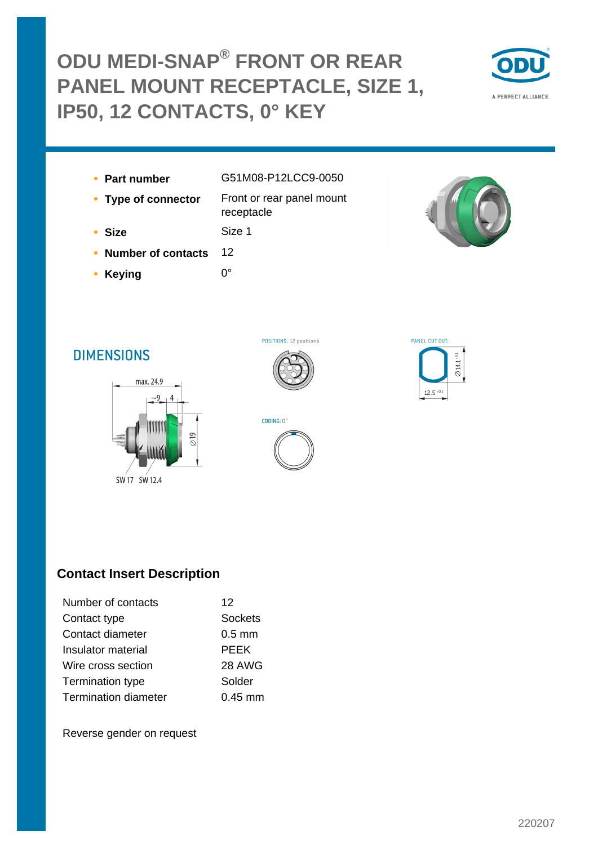# **ODU MEDI-SNAP® FRONT OR REAR PANEL MOUNT RECEPTACLE, SIZE 1, IP50, 12 CONTACTS, 0° KEY**



- 
- **Part number** G51M08-P12LCC9-0050
- **Type of connector** Front or rear panel mount receptacle
- **Size** Size 1
- **Number of contacts** 12
- **Keying** 0°

POSITIONS: 12 positions



## **DIMENSIONS**





### **Contact Insert Description**

| Number of contacts          | 12                |
|-----------------------------|-------------------|
| Contact type                | <b>Sockets</b>    |
| Contact diameter            | $0.5$ mm          |
| Insulator material          | <b>PEEK</b>       |
| Wire cross section          | 28 AWG            |
| Termination type            | Solder            |
| <b>Termination diameter</b> | $0.45 \text{ mm}$ |

Reverse gender on request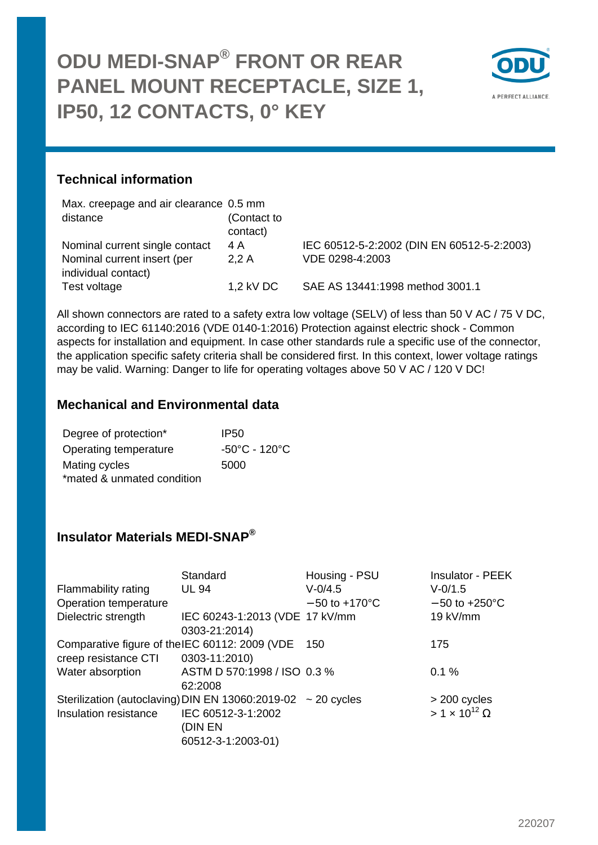

#### **Technical information**

| Max. creepage and air clearance 0.5 mm |                                            |
|----------------------------------------|--------------------------------------------|
| (Contact to                            |                                            |
| contact)                               |                                            |
|                                        | IEC 60512-5-2:2002 (DIN EN 60512-5-2:2003) |
| VDE 0298-4:2003<br>2.2A                |                                            |
|                                        |                                            |
| 1.2 kV DC                              | SAE AS 13441:1998 method 3001.1            |
|                                        |                                            |

All shown connectors are rated to a safety extra low voltage (SELV) of less than 50 V AC / 75 V DC, according to IEC 61140:2016 (VDE 0140-1:2016) Protection against electric shock - Common aspects for installation and equipment. In case other standards rule a specific use of the connector, the application specific safety criteria shall be considered first. In this context, lower voltage ratings may be valid. Warning: Danger to life for operating voltages above 50 V AC / 120 V DC!

#### **Mechanical and Environmental data**

| Degree of protection*      | IP50                               |
|----------------------------|------------------------------------|
| Operating temperature      | $-50^{\circ}$ C - 120 $^{\circ}$ C |
| Mating cycles              | 5000                               |
| *mated & unmated condition |                                    |

#### **Insulator Materials MEDI-SNAP®**

| Standard           | Housing - PSU             | <b>Insulator - PEEK</b>                                                                                                                                                                  |
|--------------------|---------------------------|------------------------------------------------------------------------------------------------------------------------------------------------------------------------------------------|
| <b>UL 94</b>       | $V - 0/4.5$               | $V - 0/1.5$                                                                                                                                                                              |
|                    | $-50$ to $+170^{\circ}$ C | $-50$ to $+250^{\circ}$ C                                                                                                                                                                |
|                    |                           | 19 kV/mm                                                                                                                                                                                 |
| 0303-21:2014)      |                           |                                                                                                                                                                                          |
|                    |                           | 175                                                                                                                                                                                      |
| 0303-11:2010)      |                           |                                                                                                                                                                                          |
|                    |                           | 0.1%                                                                                                                                                                                     |
| 62:2008            |                           |                                                                                                                                                                                          |
|                    |                           | > 200 cycles                                                                                                                                                                             |
| IEC 60512-3-1:2002 |                           | $> 1 \times 10^{12}$ Ω                                                                                                                                                                   |
| (DIN EN            |                           |                                                                                                                                                                                          |
| 60512-3-1:2003-01) |                           |                                                                                                                                                                                          |
|                    |                           | IEC 60243-1:2013 (VDE 17 kV/mm<br>Comparative figure of the IEC 60112: 2009 (VDE 150<br>ASTM D 570:1998 / ISO 0.3 %<br>Sterilization (autoclaving) DIN EN 13060:2019-02 $\sim$ 20 cycles |